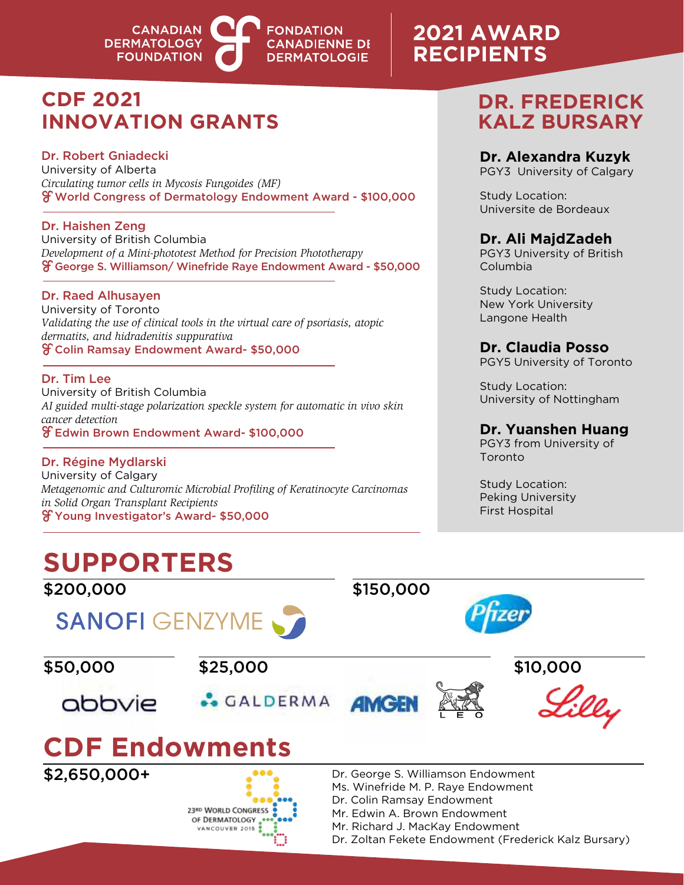

## **2021 AWARD RECIPIENTS**

## **CDF 2021 INNOVATION GRANTS**

### Dr. Robert Gniadecki

University of Alberta *Circulating tumor cells in Mycosis Fungoides (MF)* World Congress of Dermatology Endowment Award - \$100,000

Dr. Haishen Zeng University of British Columbia *Development of a Mini-phototest Method for Precision Phototherapy* George S. Williamson/ Winefride Raye Endowment Award - \$50,000

### Dr. Raed Alhusayen

University of Toronto *Validating the use of clinical tools in the virtual care of psoriasis, atopic dermatits, and hidradenitis suppurativa* Colin Ramsay Endowment Award- \$50,000

### Dr. Tim Lee

University of British Columbia *AI guided multi-stage polarization speckle system for automatic in vivo skin cancer detection* Edwin Brown Endowment Award- \$100,000

Dr. Régine Mydlarski University of Calgary *Metagenomic and Culturomic Microbial Profiling of Keratinocyte Carcinomas in Solid Organ Transplant Recipients* Young Investigator's Award- \$50,000

> 23RD WORLD CONGRESS OF DERMATOLOGY VANCOUVER 2015

## **DR. FREDERICK KALZ BURSARY**

### **Dr. Alexandra Kuzyk**

PGY3 University of Calgary

Study Location: Universite de Bordeaux

### **Dr. Ali MajdZadeh**

PGY3 University of British Columbia

Study Location: New York University Langone Health

### **Dr. Claudia Posso**

PGY5 University of Toronto

Study Location: University of Nottingham

### **Dr. Yuanshen Huang**

PGY3 from University of Toronto

Study Location: Peking University First Hospital

## **SUPPORTERS**



Mr. Edwin A. Brown Endowment

Mr. Richard J. MacKay Endowment

Dr. Zoltan Fekete Endowment (Frederick Kalz Bursary)